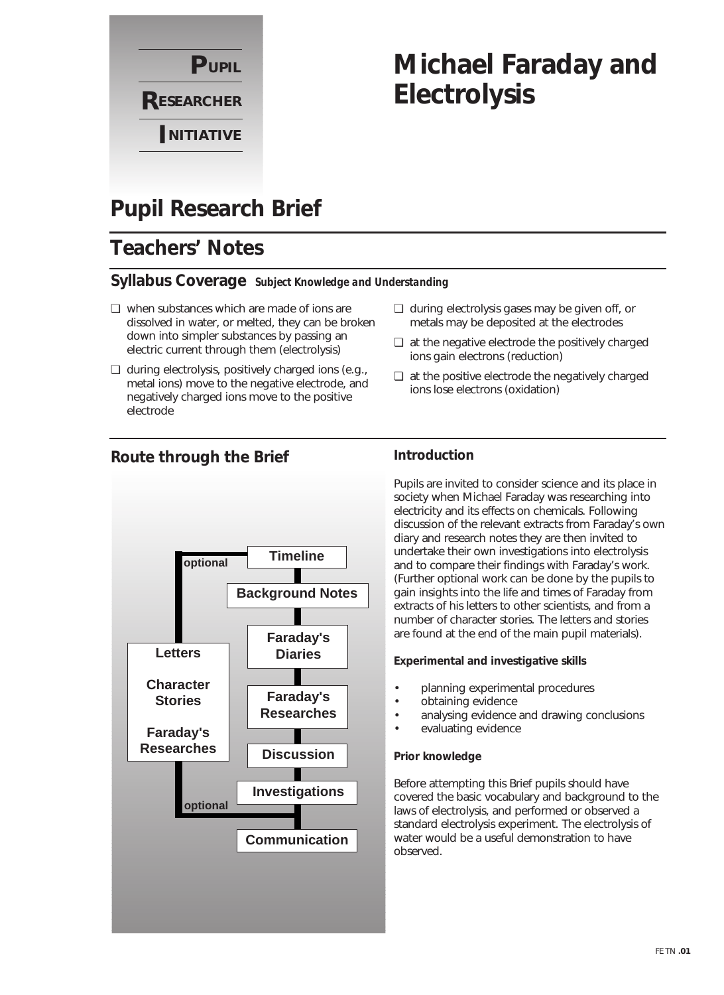

# **Michael Faraday and Electrolysis**

## **Pupil Research Brief**

## **Teachers' Notes**

### **Syllabus Coverage** *Subject Knowledge and Understanding*

- ❏ when substances which are made of ions are dissolved in water, or melted, they can be broken down into simpler substances by passing an electric current through them (electrolysis)
- ❏ during electrolysis, positively charged ions (e.g., metal ions) move to the negative electrode, and negatively charged ions move to the positive electrode
- ❏ during electrolysis gases may be given off, or metals may be deposited at the electrodes
- ❏ at the negative electrode the positively charged ions gain electrons (reduction)
- ❏ at the positive electrode the negatively charged ions lose electrons (oxidation)



### **Route through the Brief**

### **Introduction**

Pupils are invited to consider science and its place in society when Michael Faraday was researching into electricity and its effects on chemicals. Following discussion of the relevant extracts from Faraday's own diary and research notes they are then invited to undertake their own investigations into electrolysis and to compare their findings with Faraday's work. (Further optional work can be done by the pupils to gain insights into the life and times of Faraday from extracts of his letters to other scientists, and from a number of character stories. The letters and stories are found at the end of the main pupil materials).

#### **Experimental and investigative skills**

- planning experimental procedures
- obtaining evidence
- analysing evidence and drawing conclusions
- evaluating evidence

#### **Prior knowledge**

Before attempting this Brief pupils should have covered the basic vocabulary and background to the laws of electrolysis, and performed or observed a standard electrolysis experiment. The electrolysis of water would be a useful demonstration to have observed.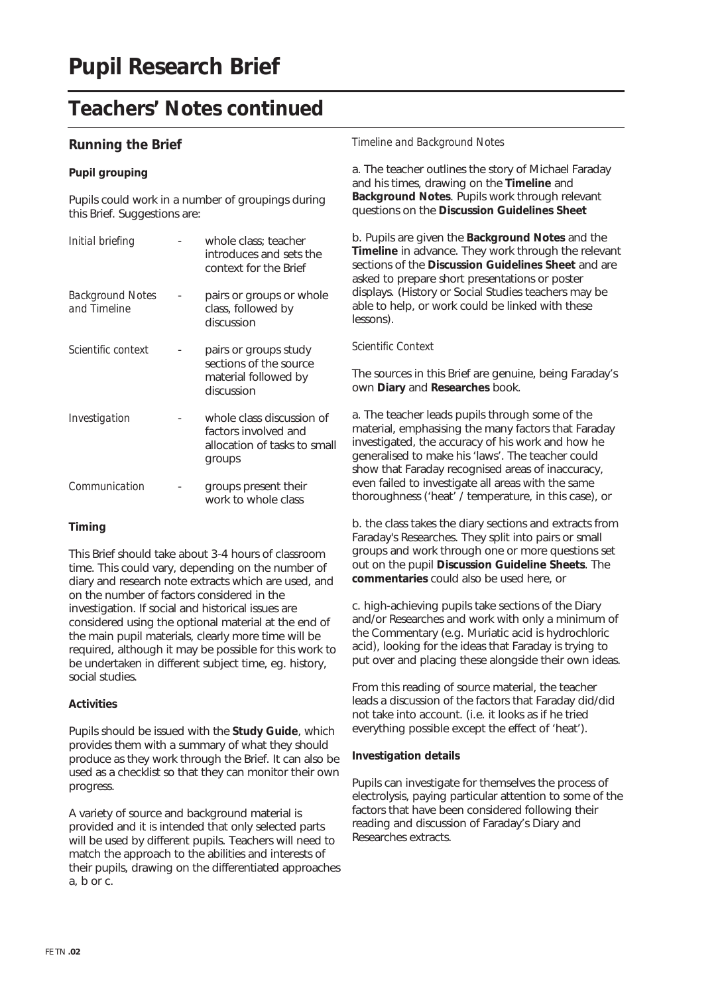### **Running the Brief**

#### **Pupil grouping**

Pupils could work in a number of groupings during this Brief. Suggestions are:

| Initial briefing                        | whole class; teacher<br>introduces and sets the<br>context for the Brief                    |  |
|-----------------------------------------|---------------------------------------------------------------------------------------------|--|
| <b>Background Notes</b><br>and Timeline | pairs or groups or whole<br>class, followed by<br>discussion                                |  |
| Scientific context                      | pairs or groups study<br>sections of the source<br>material followed by<br>discussion       |  |
| Investigation                           | whole class discussion of<br>factors involved and<br>allocation of tasks to small<br>groups |  |
| Communication                           | groups present their<br>work to whole class                                                 |  |

#### **Timing**

This Brief should take about 3-4 hours of classroom time. This could vary, depending on the number of diary and research note extracts which are used, and on the number of factors considered in the investigation. If social and historical issues are considered using the optional material at the end of the main pupil materials, clearly more time will be required, although it may be possible for this work to be undertaken in different subject time, eg. history, social studies.

#### **Activities**

Pupils should be issued with the **Study Guide**, which provides them with a summary of what they should produce as they work through the Brief. It can also be used as a checklist so that they can monitor their own progress.

A variety of source and background material is provided and it is intended that only selected parts will be used by different pupils. Teachers will need to match the approach to the abilities and interests of their pupils, drawing on the differentiated approaches a, b or c.

#### *Timeline and Background Notes*

a. The teacher outlines the story of Michael Faraday and his times, drawing on the **Timeline** and **Background Notes**. Pupils work through relevant questions on the **Discussion Guidelines Sheet**

b. Pupils are given the **Background Notes** and the **Timeline** in advance. They work through the relevant sections of the **Discussion Guidelines Sheet** and are asked to prepare short presentations or poster displays. (History or Social Studies teachers may be able to help, or work could be linked with these lessons).

#### *Scientific Context*

The sources in this Brief are genuine, being Faraday's own **Diary** and **Researches** book.

a. The teacher leads pupils through some of the material, emphasising the many factors that Faraday investigated, the accuracy of his work and how he generalised to make his 'laws'. The teacher could show that Faraday recognised areas of inaccuracy, even failed to investigate all areas with the same thoroughness ('heat' / temperature, in this case), or

b. the class takes the diary sections and extracts from Faraday's Researches. They split into pairs or small groups and work through one or more questions set out on the pupil **Discussion Guideline Sheets**. The **commentaries** could also be used here, or

c. high-achieving pupils take sections of the Diary and/or Researches and work with only a minimum of the Commentary (e.g. Muriatic acid is hydrochloric acid), looking for the ideas that Faraday is trying to put over and placing these alongside their own ideas.

From this reading of source material, the teacher leads a discussion of the factors that Faraday did/did not take into account. (i.e. it looks as if he tried everything possible except the effect of 'heat').

#### **Investigation details**

Pupils can investigate for themselves the process of electrolysis, paying particular attention to some of the factors that have been considered following their reading and discussion of Faraday's Diary and Researches extracts.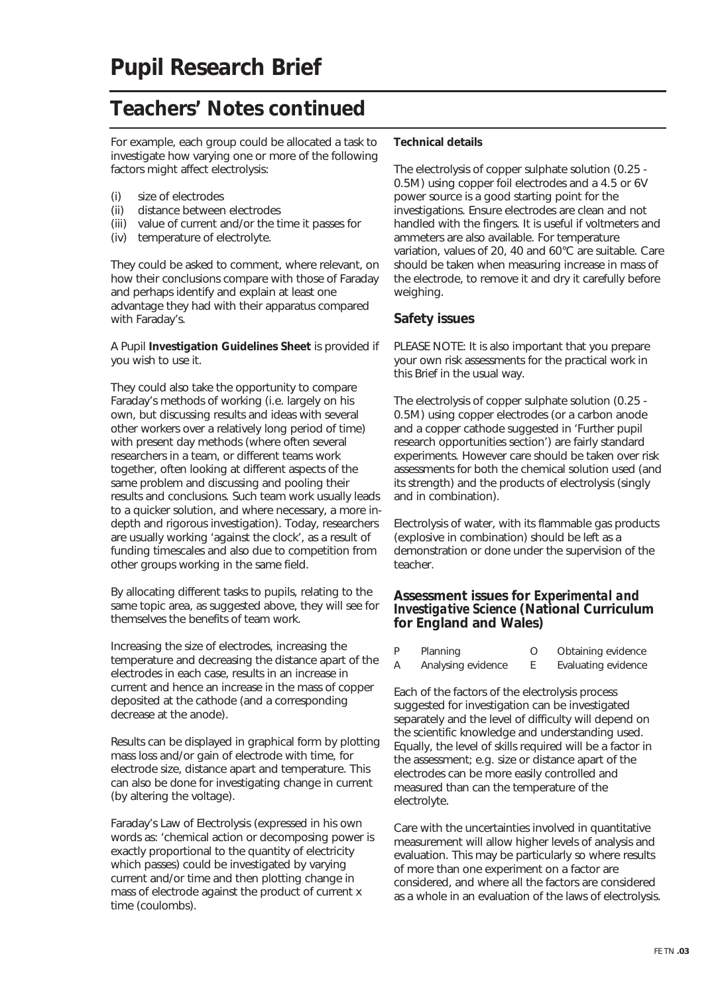For example, each group could be allocated a task to investigate how varying one or more of the following factors might affect electrolysis:

- (i) size of electrodes
- (ii) distance between electrodes
- (iii) value of current and/or the time it passes for
- (iv) temperature of electrolyte.

They could be asked to comment, where relevant, on how their conclusions compare with those of Faraday and perhaps identify and explain at least one advantage they had with their apparatus compared with Faraday's.

A Pupil **Investigation Guidelines Sheet** is provided if you wish to use it.

They could also take the opportunity to compare Faraday's methods of working (i.e. largely on his own, but discussing results and ideas with several other workers over a relatively long period of time) with present day methods (where often several researchers in a team, or different teams work together, often looking at different aspects of the same problem and discussing and pooling their results and conclusions. Such team work usually leads to a quicker solution, and where necessary, a more indepth and rigorous investigation). Today, researchers are usually working 'against the clock', as a result of funding timescales and also due to competition from other groups working in the same field.

By allocating different tasks to pupils, relating to the same topic area, as suggested above, they will see for themselves the benefits of team work.

Increasing the size of electrodes, increasing the temperature and decreasing the distance apart of the electrodes in each case, results in an increase in current and hence an increase in the mass of copper deposited at the cathode (and a corresponding decrease at the anode).

Results can be displayed in graphical form by plotting mass loss and/or gain of electrode with time, for electrode size, distance apart and temperature. This can also be done for investigating change in current (by altering the voltage).

Faraday's Law of Electrolysis (expressed in his own words as: 'chemical action or decomposing power is exactly proportional to the quantity of electricity which passes) could be investigated by varying current and/or time and then plotting change in mass of electrode against the product of current x time (coulombs).

#### **Technical details**

The electrolysis of copper sulphate solution (0.25 - 0.5M) using copper foil electrodes and a 4.5 or 6V power source is a good starting point for the investigations. Ensure electrodes are clean and not handled with the fingers. It is useful if voltmeters and ammeters are also available. For temperature variation, values of 20, 40 and 60°C are suitable. Care should be taken when measuring increase in mass of the electrode, to remove it and dry it carefully before weighing.

#### **Safety issues**

PLEASE NOTE: It is also important that you prepare your own risk assessments for the practical work in this Brief in the usual way.

The electrolysis of copper sulphate solution (0.25 - 0.5M) using copper electrodes (or a carbon anode and a copper cathode suggested in 'Further pupil research opportunities section') are fairly standard experiments. However care should be taken over risk assessments for both the chemical solution used (and its strength) and the products of electrolysis (singly and in combination).

Electrolysis of water, with its flammable gas products (explosive in combination) should be left as a demonstration or done under the supervision of the teacher.

#### **Assessment issues for** *Experimental and Investigative Science* **(National Curriculum for England and Wales)**

| P | Planning           | Obtaining evidence  |
|---|--------------------|---------------------|
| A | Analysing evidence | Evaluating evidence |

Each of the factors of the electrolysis process suggested for investigation can be investigated separately and the level of difficulty will depend on the scientific knowledge and understanding used. Equally, the level of skills required will be a factor in the assessment; e.g. size or distance apart of the electrodes can be more easily controlled and measured than can the temperature of the electrolyte.

Care with the uncertainties involved in quantitative measurement will allow higher levels of analysis and evaluation. This may be particularly so where results of more than one experiment on a factor are considered, and where all the factors are considered as a whole in an evaluation of the laws of electrolysis.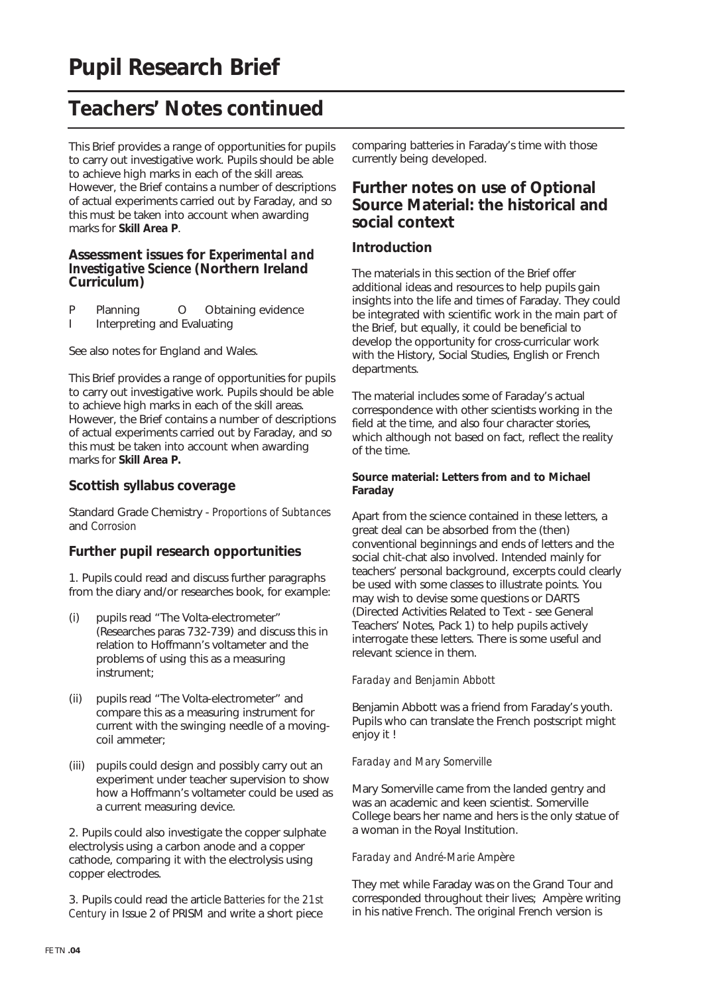This Brief provides a range of opportunities for pupils to carry out investigative work. Pupils should be able to achieve high marks in each of the skill areas. However, the Brief contains a number of descriptions of actual experiments carried out by Faraday, and so this must be taken into account when awarding marks for **Skill Area P**.

#### **Assessment issues for** *Experimental and Investigative Science* **(Northern Ireland Curriculum)**

- P Planning O Obtaining evidence
- I Interpreting and Evaluating

See also notes for England and Wales.

This Brief provides a range of opportunities for pupils to carry out investigative work. Pupils should be able to achieve high marks in each of the skill areas. However, the Brief contains a number of descriptions of actual experiments carried out by Faraday, and so this must be taken into account when awarding marks for **Skill Area P.**

#### **Scottish syllabus coverage**

Standard Grade Chemistry - *Proportions of Subtances* and *Corrosion*

#### **Further pupil research opportunities**

1. Pupils could read and discuss further paragraphs from the diary and/or researches book, for example:

- (i) pupils read "The Volta-electrometer" (Researches paras 732-739) and discuss this in relation to Hoffmann's voltameter and the problems of using this as a measuring instrument;
- (ii) pupils read "The Volta-electrometer" and compare this as a measuring instrument for current with the swinging needle of a movingcoil ammeter;
- (iii) pupils could design and possibly carry out an experiment under teacher supervision to show how a Hoffmann's voltameter could be used as a current measuring device.

2. Pupils could also investigate the copper sulphate electrolysis using a carbon anode and a copper cathode, comparing it with the electrolysis using copper electrodes.

3. Pupils could read the article *Batteries for the 21st Century* in Issue 2 of PRISM and write a short piece

comparing batteries in Faraday's time with those currently being developed.

### **Further notes on use of Optional Source Material: the historical and social context**

#### **Introduction**

The materials in this section of the Brief offer additional ideas and resources to help pupils gain insights into the life and times of Faraday. They could be integrated with scientific work in the main part of the Brief, but equally, it could be beneficial to develop the opportunity for cross-curricular work with the History, Social Studies, English or French departments.

The material includes some of Faraday's actual correspondence with other scientists working in the field at the time, and also four character stories, which although not based on fact, reflect the reality of the time.

#### **Source material: Letters from and to Michael Faraday**

Apart from the science contained in these letters, a great deal can be absorbed from the (then) conventional beginnings and ends of letters and the social chit-chat also involved. Intended mainly for teachers' personal background, excerpts could clearly be used with some classes to illustrate points. You may wish to devise some questions or DARTS (Directed Activities Related to Text - see General Teachers' Notes, Pack 1) to help pupils actively interrogate these letters. There is some useful and relevant science in them.

#### *Faraday and Benjamin Abbott*

Benjamin Abbott was a friend from Faraday's youth. Pupils who can translate the French postscript might enjoy it !

#### *Faraday and Mary Somerville*

Mary Somerville came from the landed gentry and was an academic and keen scientist. Somerville College bears her name and hers is the only statue of a woman in the Royal Institution.

#### *Faraday and André-Marie Amp*è*re*

They met while Faraday was on the Grand Tour and corresponded throughout their lives; Ampère writing in his native French. The original French version is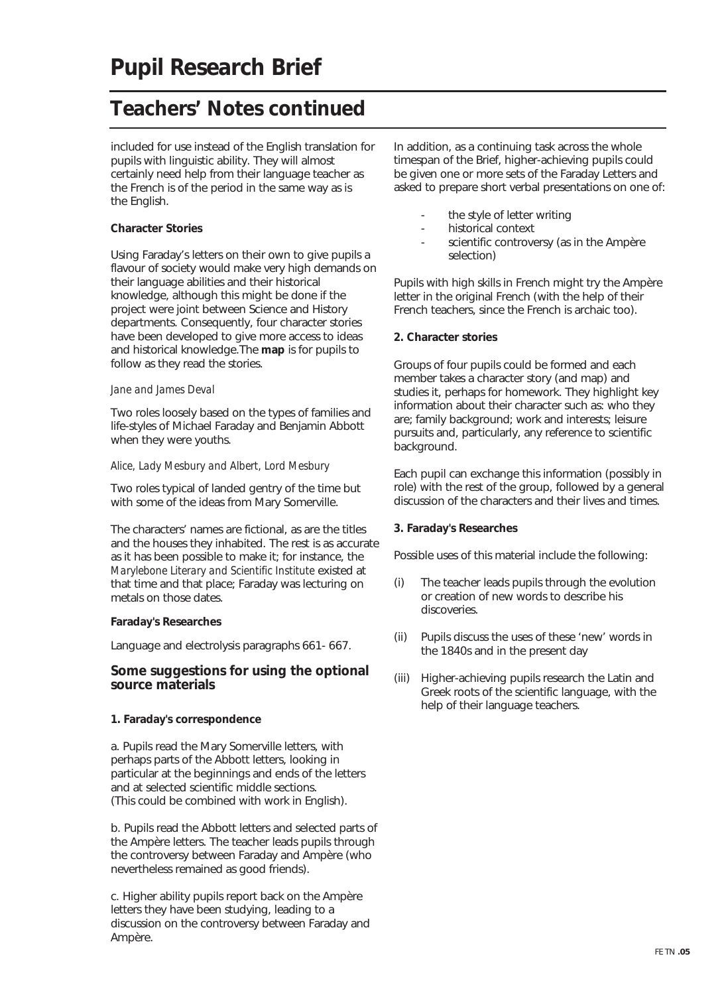included for use instead of the English translation for pupils with linguistic ability. They will almost certainly need help from their language teacher as the French is of the period in the same way as is the English.

#### **Character Stories**

Using Faraday's letters on their own to give pupils a flavour of society would make very high demands on their language abilities and their historical knowledge, although this might be done if the project were joint between Science and History departments. Consequently, four character stories have been developed to give more access to ideas and historical knowledge.The **map** is for pupils to follow as they read the stories.

#### *Jane and James Deval*

Two roles loosely based on the types of families and life-styles of Michael Faraday and Benjamin Abbott when they were youths.

#### *Alice, Lady Mesbury and Albert, Lord Mesbury*

Two roles typical of landed gentry of the time but with some of the ideas from Mary Somerville.

The characters' names are fictional, as are the titles and the houses they inhabited. The rest is as accurate as it has been possible to make it; for instance, the *Marylebone Literary and Scientific Institute* existed at that time and that place; Faraday was lecturing on metals on those dates.

#### **Faraday's Researches**

Language and electrolysis paragraphs 661- 667.

#### **Some suggestions for using the optional source materials**

#### **1. Faraday's correspondence**

a. Pupils read the Mary Somerville letters, with perhaps parts of the Abbott letters, looking in particular at the beginnings and ends of the letters and at selected scientific middle sections. (This could be combined with work in English).

b. Pupils read the Abbott letters and selected parts of the Ampère letters. The teacher leads pupils through the controversy between Faraday and Ampère (who nevertheless remained as good friends).

c. Higher ability pupils report back on the Ampère letters they have been studying, leading to a discussion on the controversy between Faraday and Ampère.

In addition, as a continuing task across the whole timespan of the Brief, higher-achieving pupils could be given one or more sets of the Faraday Letters and asked to prepare short verbal presentations on one of:

- the style of letter writing
- historical context
- scientific controversy (as in the Ampère selection)

Pupils with high skills in French might try the Ampère letter in the original French (with the help of their French teachers, since the French is archaic too).

#### **2. Character stories**

Groups of four pupils could be formed and each member takes a character story (and map) and studies it, perhaps for homework. They highlight key information about their character such as: who they are; family background; work and interests; leisure pursuits and, particularly, any reference to scientific background.

Each pupil can exchange this information (possibly in role) with the rest of the group, followed by a general discussion of the characters and their lives and times.

#### **3. Faraday's Researches**

Possible uses of this material include the following:

- (i) The teacher leads pupils through the evolution or creation of new words to describe his discoveries.
- (ii) Pupils discuss the uses of these 'new' words in the 1840s and in the present day
- (iii) Higher-achieving pupils research the Latin and Greek roots of the scientific language, with the help of their language teachers.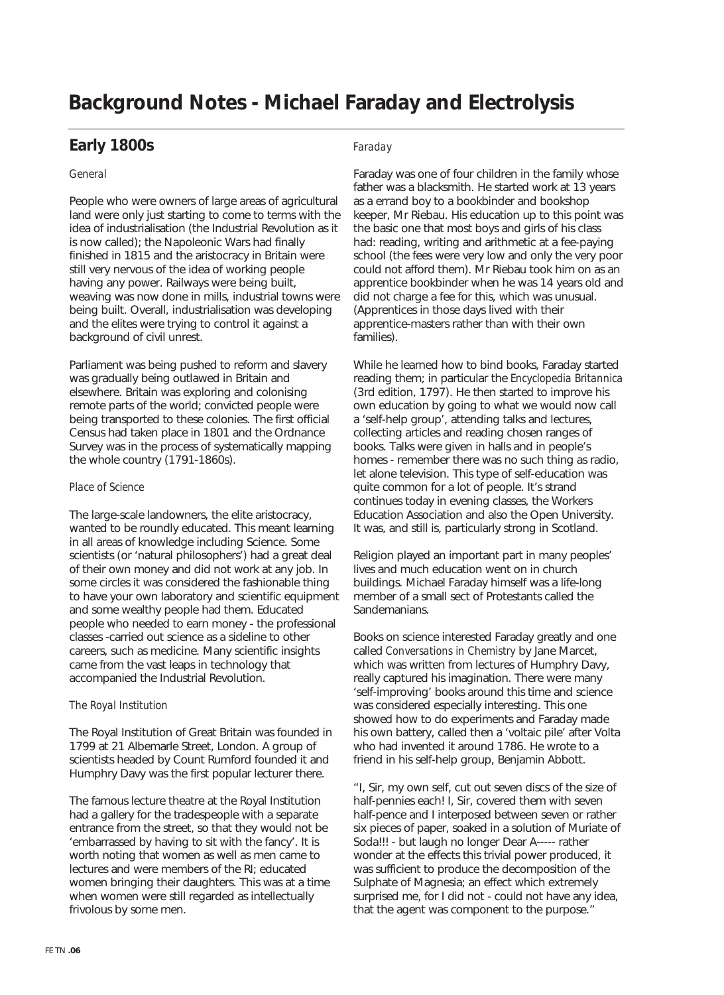## **Background Notes - Michael Faraday and Electrolysis**

### **Early 1800s**

#### *General*

People who were owners of large areas of agricultural land were only just starting to come to terms with the idea of industrialisation (the Industrial Revolution as it is now called); the Napoleonic Wars had finally finished in 1815 and the aristocracy in Britain were still very nervous of the idea of working people having any power. Railways were being built, weaving was now done in mills, industrial towns were being built. Overall, industrialisation was developing and the elites were trying to control it against a background of civil unrest.

Parliament was being pushed to reform and slavery was gradually being outlawed in Britain and elsewhere. Britain was exploring and colonising remote parts of the world; convicted people were being transported to these colonies. The first official Census had taken place in 1801 and the Ordnance Survey was in the process of systematically mapping the whole country (1791-1860s).

#### *Place of Science*

The large-scale landowners, the elite aristocracy, wanted to be roundly educated. This meant learning in all areas of knowledge including Science. Some scientists (or 'natural philosophers') had a great deal of their own money and did not work at any job. In some circles it was considered the fashionable thing to have your own laboratory and scientific equipment and some wealthy people had them. Educated people who needed to earn money - the professional classes -carried out science as a sideline to other careers, such as medicine. Many scientific insights came from the vast leaps in technology that accompanied the Industrial Revolution.

#### *The Royal Institution*

The Royal Institution of Great Britain was founded in 1799 at 21 Albemarle Street, London. A group of scientists headed by Count Rumford founded it and Humphry Davy was the first popular lecturer there.

The famous lecture theatre at the Royal Institution had a gallery for the tradespeople with a separate entrance from the street, so that they would not be 'embarrassed by having to sit with the fancy'. It is worth noting that women as well as men came to lectures and were members of the RI; educated women bringing their daughters. This was at a time when women were still regarded as intellectually frivolous by some men.

#### *Faraday*

Faraday was one of four children in the family whose father was a blacksmith. He started work at 13 years as a errand boy to a bookbinder and bookshop keeper, Mr Riebau. His education up to this point was the basic one that most boys and girls of his class had: reading, writing and arithmetic at a fee-paying school (the fees were very low and only the very poor could not afford them). Mr Riebau took him on as an apprentice bookbinder when he was 14 years old and did not charge a fee for this, which was unusual. (Apprentices in those days lived with their apprentice-masters rather than with their own families).

While he learned how to bind books, Faraday started reading them; in particular the *Encyclopedia Britannica* (3rd edition, 1797). He then started to improve his own education by going to what we would now call a 'self-help group', attending talks and lectures, collecting articles and reading chosen ranges of books. Talks were given in halls and in people's homes - remember there was no such thing as radio, let alone television. This type of self-education was quite common for a lot of people. It's strand continues today in evening classes, the Workers Education Association and also the Open University. It was, and still is, particularly strong in Scotland.

Religion played an important part in many peoples' lives and much education went on in church buildings. Michael Faraday himself was a life-long member of a small sect of Protestants called the Sandemanians.

Books on science interested Faraday greatly and one called *Conversations in Chemistry* by Jane Marcet, which was written from lectures of Humphry Davy, really captured his imagination. There were many 'self-improving' books around this time and science was considered especially interesting. This one showed how to do experiments and Faraday made his own battery, called then a 'voltaic pile' after Volta who had invented it around 1786. He wrote to a friend in his self-help group, Benjamin Abbott.

"I, Sir, my own self, cut out seven discs of the size of half-pennies each! I, Sir, covered them with seven half-pence and I interposed between seven or rather six pieces of paper, soaked in a solution of Muriate of Soda!!! - but laugh no longer Dear A----- rather wonder at the effects this trivial power produced, it was sufficient to produce the decomposition of the Sulphate of Magnesia; an effect which extremely surprised me, for I did not - could not have any idea, that the agent was component to the purpose."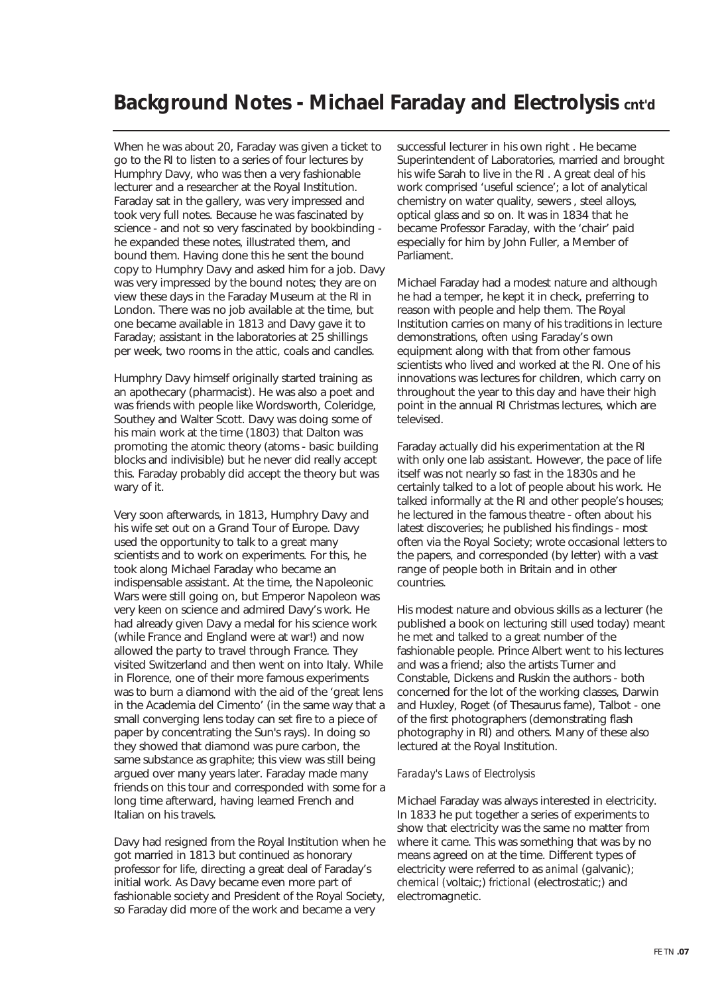### **Background Notes - Michael Faraday and Electrolysis cnt'd**

When he was about 20, Faraday was given a ticket to go to the RI to listen to a series of four lectures by Humphry Davy, who was then a very fashionable lecturer and a researcher at the Royal Institution. Faraday sat in the gallery, was very impressed and took very full notes. Because he was fascinated by science - and not so very fascinated by bookbinding he expanded these notes, illustrated them, and bound them. Having done this he sent the bound copy to Humphry Davy and asked him for a job. Davy was very impressed by the bound notes; they are on view these days in the Faraday Museum at the RI in London. There was no job available at the time, but one became available in 1813 and Davy gave it to Faraday; assistant in the laboratories at 25 shillings per week, two rooms in the attic, coals and candles.

Humphry Davy himself originally started training as an apothecary (pharmacist). He was also a poet and was friends with people like Wordsworth, Coleridge, Southey and Walter Scott. Davy was doing some of his main work at the time (1803) that Dalton was promoting the atomic theory (atoms - basic building blocks and indivisible) but he never did really accept this. Faraday probably did accept the theory but was wary of it.

Very soon afterwards, in 1813, Humphry Davy and his wife set out on a Grand Tour of Europe. Davy used the opportunity to talk to a great many scientists and to work on experiments. For this, he took along Michael Faraday who became an indispensable assistant. At the time, the Napoleonic Wars were still going on, but Emperor Napoleon was very keen on science and admired Davy's work. He had already given Davy a medal for his science work (while France and England were at war!) and now allowed the party to travel through France. They visited Switzerland and then went on into Italy. While in Florence, one of their more famous experiments was to burn a diamond with the aid of the 'great lens in the Academia del Cimento' (in the same way that a small converging lens today can set fire to a piece of paper by concentrating the Sun's rays). In doing so they showed that diamond was pure carbon, the same substance as graphite; this view was still being argued over many years later. Faraday made many friends on this tour and corresponded with some for a long time afterward, having learned French and Italian on his travels.

Davy had resigned from the Royal Institution when he got married in 1813 but continued as honorary professor for life, directing a great deal of Faraday's initial work. As Davy became even more part of fashionable society and President of the Royal Society, so Faraday did more of the work and became a very

successful lecturer in his own right . He became Superintendent of Laboratories, married and brought his wife Sarah to live in the RI . A great deal of his work comprised 'useful science'; a lot of analytical chemistry on water quality, sewers , steel alloys, optical glass and so on. It was in 1834 that he became Professor Faraday, with the 'chair' paid especially for him by John Fuller, a Member of Parliament.

Michael Faraday had a modest nature and although he had a temper, he kept it in check, preferring to reason with people and help them. The Royal Institution carries on many of his traditions in lecture demonstrations, often using Faraday's own equipment along with that from other famous scientists who lived and worked at the RI. One of his innovations was lectures for children, which carry on throughout the year to this day and have their high point in the annual RI Christmas lectures, which are televised.

Faraday actually did his experimentation at the RI with only one lab assistant. However, the pace of life itself was not nearly so fast in the 1830s and he certainly talked to a lot of people about his work. He talked informally at the RI and other people's houses; he lectured in the famous theatre - often about his latest discoveries; he published his findings - most often via the Royal Society; wrote occasional letters to the papers, and corresponded (by letter) with a vast range of people both in Britain and in other countries.

His modest nature and obvious skills as a lecturer (he published a book on lecturing still used today) meant he met and talked to a great number of the fashionable people. Prince Albert went to his lectures and was a friend; also the artists Turner and Constable, Dickens and Ruskin the authors - both concerned for the lot of the working classes, Darwin and Huxley, Roget (of Thesaurus fame), Talbot - one of the first photographers (demonstrating flash photography in RI) and others. Many of these also lectured at the Royal Institution.

#### *Faraday's Laws of Electrolysis*

Michael Faraday was always interested in electricity. In 1833 he put together a series of experiments to show that electricity was the same no matter from where it came. This was something that was by no means agreed on at the time. Different types of electricity were referred to as *animal* (galvanic); *chemical (*voltaic;) *frictional* (electrostatic;) and electromagnetic.